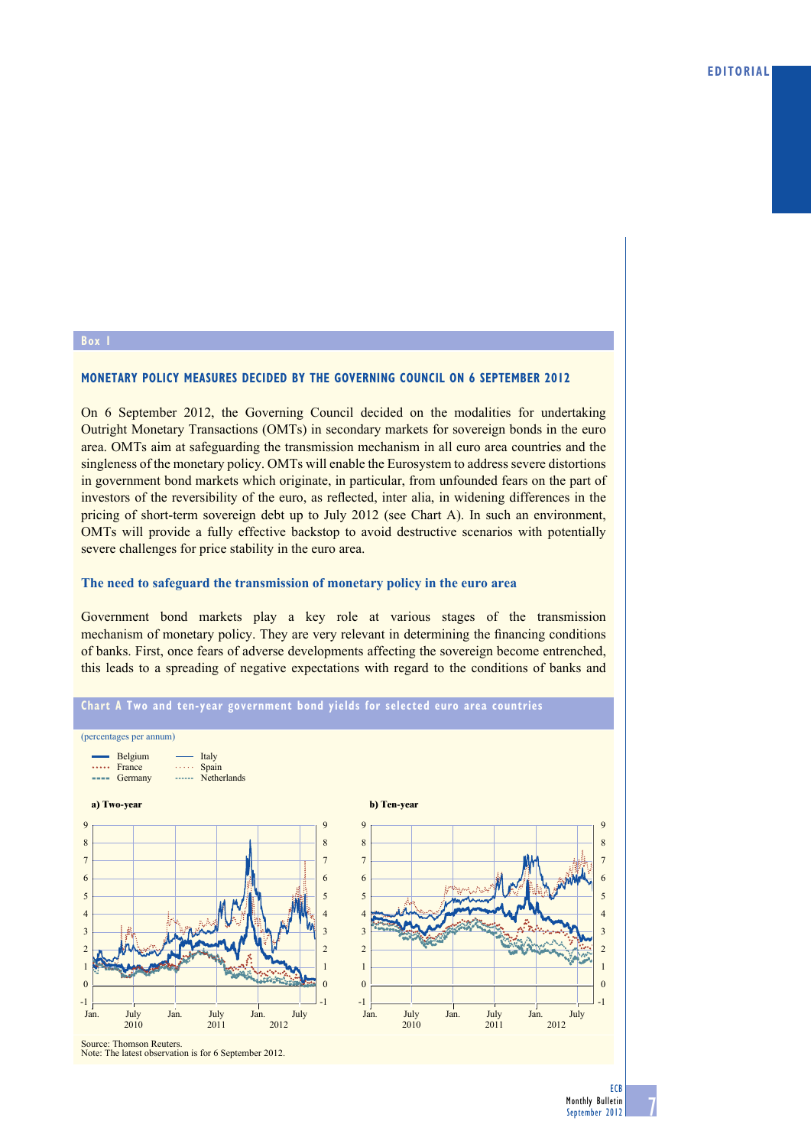### **Box 1**

# **MoNetarY PoliCY MeaSUreS deCided BY tHe GoVerNiNG CoUNCil oN 6 SePteMBer 2012**

On 6 September 2012, the Governing Council decided on the modalities for undertaking Outright Monetary Transactions (OMTs) in secondary markets for sovereign bonds in the euro area. OMTs aim at safeguarding the transmission mechanism in all euro area countries and the singleness of the monetary policy. OMTs will enable the Eurosystem to address severe distortions in government bond markets which originate, in particular, from unfounded fears on the part of investors of the reversibility of the euro, as reflected, inter alia, in widening differences in the pricing of short-term sovereign debt up to July 2012 (see Chart A). In such an environment, OMTs will provide a fully effective backstop to avoid destructive scenarios with potentially severe challenges for price stability in the euro area.

## **The need to safeguard the transmission of monetary policy in the euro area**

Government bond markets play a key role at various stages of the transmission mechanism of monetary policy. They are very relevant in determining the financing conditions of banks. First, once fears of adverse developments affecting the sovereign become entrenched, this leads to a spreading of negative expectations with regard to the conditions of banks and



**ECB**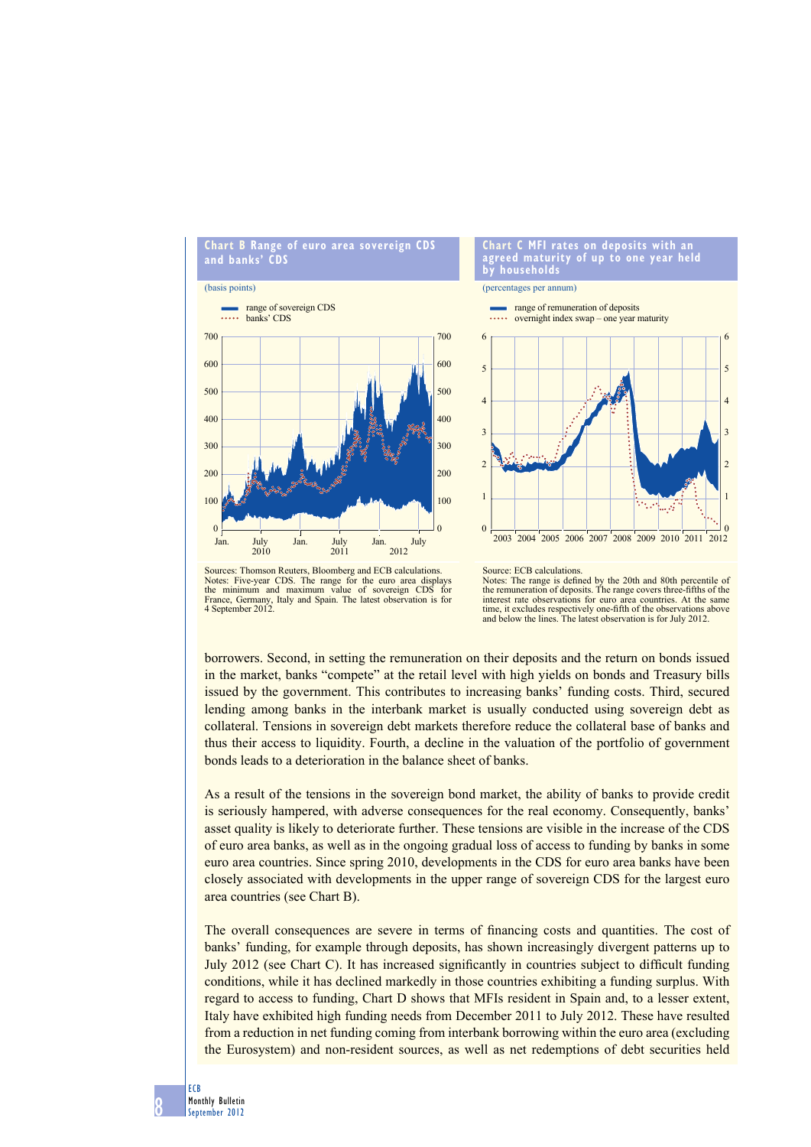

#### **Chart C MFi rates on deposits with an agreed maturity of up to one year held by households**

**Trange of remuneration of deposits** 

(percentages per annum)



Sources: Thomson Reuters, Bloomberg and ECB calculations. Notes: Five-year CDS. The range for the euro area displays the minimum and maximum value of sovereign CDS for France, Germany, Italy and Spain. The latest observation is for 4 September 2012.

Source: ECB calculations. Notes: The range is defined by the 20th and 80th percentile of the remuneration of deposits. The range covers three-fifths of the interest rate observations for euro area countries. At the same

borrowers. Second, in setting the remuneration on their deposits and the return on bonds issued in the market, banks "compete" at the retail level with high yields on bonds and Treasury bills issued by the government. This contributes to increasing banks' funding costs. Third, secured lending among banks in the interbank market is usually conducted using sovereign debt as time, it excludes respectively one-fifth of the observations above and below the lines. The latest observation is for July 2012.

collateral. Tensions in sovereign debt markets therefore reduce the collateral base of banks and thus their access to liquidity. Fourth, a decline in the valuation of the portfolio of government bonds leads to a deterioration in the balance sheet of banks. As a result of the tensions in the sovereign bond market, the ability of banks to provide credit

is seriously hampered, with adverse consequences for the real economy. Consequently, banks' asset quality is likely to deteriorate further. These tensions are visible in the increase of the CDS of euro area banks, as well as in the ongoing gradual loss of access to funding by banks in some euro area countries. Since spring 2010, developments in the CDS for euro area banks have been closely associated with developments in the upper range of sovereign CDS for the largest euro area countries (see Chart B).

The overall consequences are severe in terms of financing costs and quantities. The cost of banks' funding, for example through deposits, has shown increasingly divergent patterns up to July 2012 (see Chart C). It has increased significantly in countries subject to difficult funding conditions, while it has declined markedly in those countries exhibiting a funding surplus. With regard to access to funding, Chart D shows that MFIs resident in Spain and, to a lesser extent, Italy have exhibited high funding needs from December 2011 to July 2012. These have resulted from a reduction in net funding coming from interbank borrowing within the euro area (excluding the Eurosystem) and non-resident sources, as well as net redemptions of debt securities held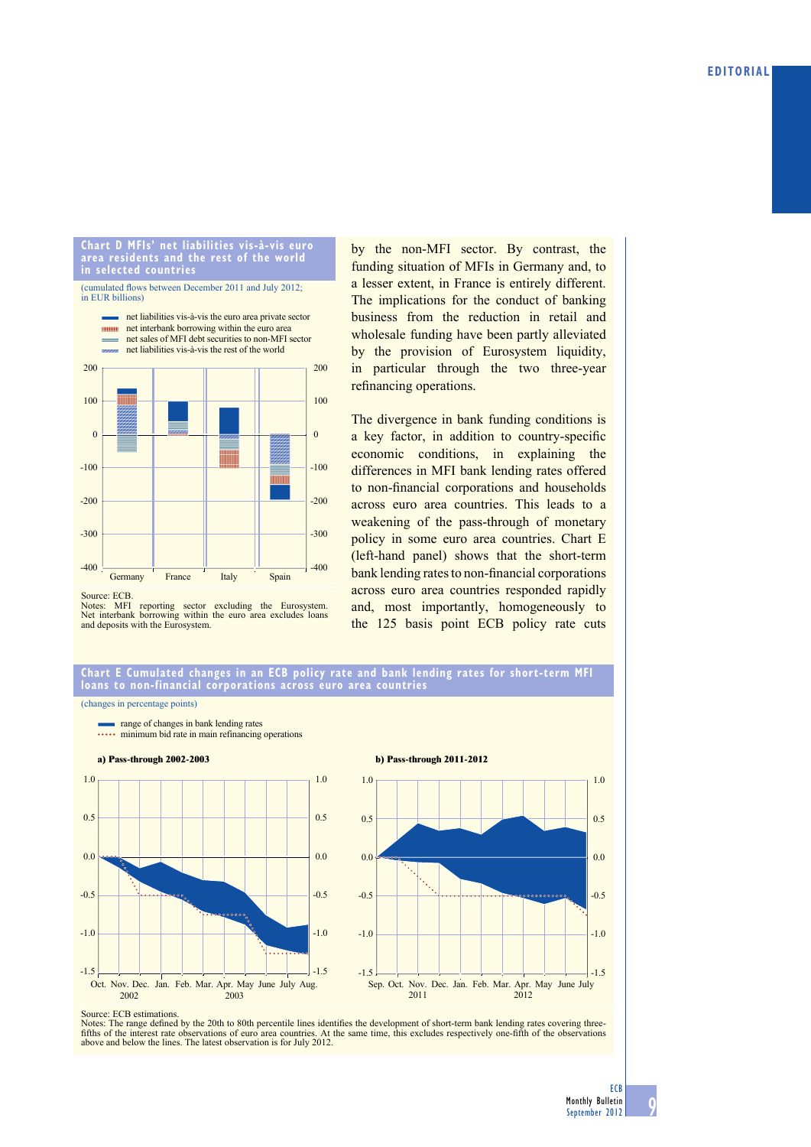#### **Chart d MFis' net liabilities vis-à-vis euro area residents and the rest of the world in selected countries**



by the non-MFI sector. By contrast, the funding situation of MFIs in Germany and, to a lesser extent, in France is entirely different. The implications for the conduct of banking business from the reduction in retail and wholesale funding have been partly alleviated by the provision of Eurosystem liquidity, in particular through the two three-year refinancing operations.

The divergence in bank funding conditions is a key factor, in addition to country-specific economic conditions, in explaining the differences in MFI bank lending rates offered to non-financial corporations and households across euro area countries. This leads to a weakening of the pass-through of monetary policy in some euro area countries. Chart E (left-hand panel) shows that the short-term bank lending rates to non-financial corporations across euro area countries responded rapidly and, most importantly, homogeneously to the 125 basis point ECB policy rate cuts

Source: ECB.

Notes: MFI reporting sector excluding the Eurosystem. Net interbank borrowing within the euro area excludes loans and deposits with the Eurosystem.

### **Chart e Cumulated changes in an eCB policy rate and bank lending rates for short-term MFi loans to non-financial corporations across euro area countries**

(changes in percentage points)



Source: ECB estimations.

Notes: The range defined by the 20th to 80th percentile lines identifies the development of short-term bank lending rates covering threefifths of the interest rate observations of euro area countries. At the same time, this excludes respectively one-fifth of the observations above and below the lines. The latest observation is for July 2012.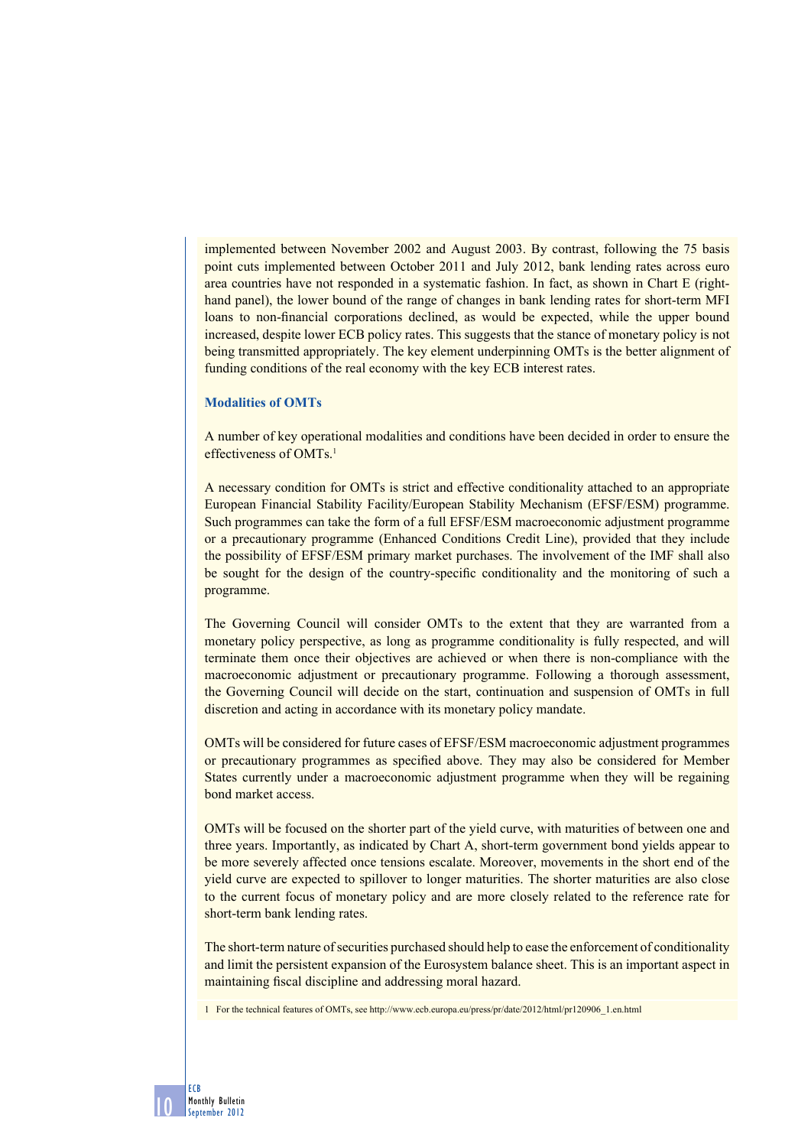implemented between November 2002 and August 2003. By contrast, following the 75 basis point cuts implemented between October 2011 and July 2012, bank lending rates across euro area countries have not responded in a systematic fashion. In fact, as shown in Chart E (righthand panel), the lower bound of the range of changes in bank lending rates for short-term MFI loans to non-financial corporations declined, as would be expected, while the upper bound increased, despite lower ECB policy rates. This suggests that the stance of monetary policy is not being transmitted appropriately. The key element underpinning OMTs is the better alignment of funding conditions of the real economy with the key ECB interest rates.

## **Modalities of OMTs**

10

ECB Monthly Bulletin September 2012

A number of key operational modalities and conditions have been decided in order to ensure the effectiveness of OMTs.<sup>1</sup>

A necessary condition for OMTs is strict and effective conditionality attached to an appropriate European Financial Stability Facility/European Stability Mechanism (EFSF/ESM) programme. Such programmes can take the form of a full EFSF/ESM macroeconomic adjustment programme or a precautionary programme (Enhanced Conditions Credit Line), provided that they include the possibility of EFSF/ESM primary market purchases. The involvement of the IMF shall also be sought for the design of the country-specific conditionality and the monitoring of such a programme.

The Governing Council will consider OMTs to the extent that they are warranted from a monetary policy perspective, as long as programme conditionality is fully respected, and will terminate them once their objectives are achieved or when there is non-compliance with the macroeconomic adjustment or precautionary programme. Following a thorough assessment, the Governing Council will decide on the start, continuation and suspension of OMTs in full discretion and acting in accordance with its monetary policy mandate.

OMTs will be considered for future cases of EFSF/ESM macroeconomic adjustment programmes or precautionary programmes as specified above. They may also be considered for Member States currently under a macroeconomic adjustment programme when they will be regaining bond market access.

OMTs will be focused on the shorter part of the yield curve, with maturities of between one and three years. Importantly, as indicated by Chart A, short-term government bond yields appear to be more severely affected once tensions escalate. Moreover, movements in the short end of the yield curve are expected to spillover to longer maturities. The shorter maturities are also close to the current focus of monetary policy and are more closely related to the reference rate for short-term bank lending rates.

The short-term nature of securities purchased should help to ease the enforcement of conditionality and limit the persistent expansion of the Eurosystem balance sheet. This is an important aspect in maintaining fiscal discipline and addressing moral hazard.

1 For the technical features of OMTs, see http://www.ecb.europa.eu/press/pr/date/2012/html/pr120906\_1.en.html